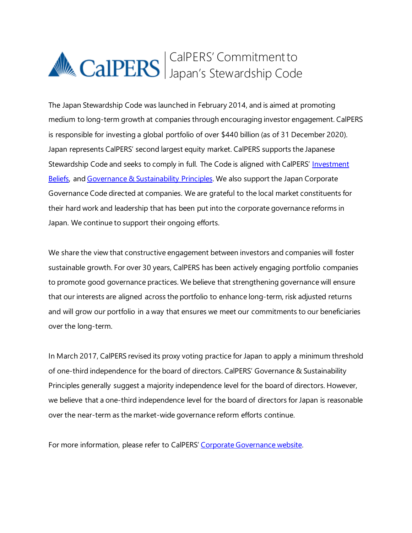# CalPERS' Commitment to Japan's Stewardship Code

The Japan Stewardship Code was launched in February 2014, and is aimed at promoting medium to long-term growth at companies through encouraging investor engagement. CalPERS is responsible for investing a global portfolio of over \$440 billion (as of 31 December 2020). Japan represents CalPERS' second largest equity market. CalPERS supports the Japanese Stewardship Code and seeks to comply in full. The Code is aligned with CalPERS' Investment [Beliefs,](https://www.calpers.ca.gov/page/about/organization/calpers-story/our-mission-vision#investment-beliefs) and Governance [& Sustainability](https://www.calpers.ca.gov/docs/forms-publications/governance-and-sustainability-principles.pdf) Principles. We also support the Japan Corporate Governance Code directed at companies. We are grateful to the local market constituents for their hard work and leadership that has been put into the corporate governance reforms in Japan. We continue to support their ongoing efforts.

We share the view that constructive engagement between investors and companies will foster sustainable growth. For over 30 years, CalPERS has been actively engaging portfolio companies to promote good governance practices. We believe that strengthening governance will ensure that our interests are aligned across the portfolio to enhance long-term, risk adjusted returns and will grow our portfolio in a way that ensures we meet our commitments to our beneficiaries over the long-term.

In March 2017, CalPERS revised its proxy voting practice for Japan to apply a minimum threshold of one-third independence for the board of directors. CalPERS' Governance & Sustainability Principles generally suggest a majority independence level for the board of directors. However, we believe that a one-third independence level for the board of directors for Japan is reasonable over the near-term as the market-wide governance reform efforts continue.

For more information, please refer to CalPERS' [Corporate Governance website.](https://www.calpers.ca.gov/page/investments/corporate-governance)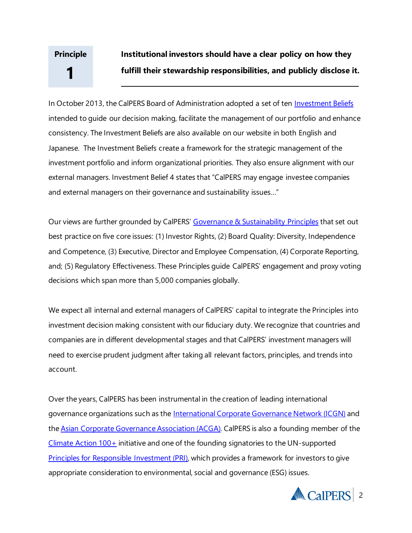#### **Institutional investors should have a clear policy on how they fulfill their stewardship responsibilities, and publicly disclose it. Principle 1**

In October 2013, the CalPERS Board of Administration adopted a set of ten *Investment Beliefs* intended to guide our decision making, facilitate the management of our portfolio and enhance consistency. The Investment Beliefs are also available on our website in both English and Japanese. The Investment Beliefs create a framework for the strategic management of the investment portfolio and inform organizational priorities. They also ensure alignment with our external managers. Investment Belief 4 states that "CalPERS may engage investee companies and external managers on their governance and sustainability issues…"

Our views are further grounded by CalPERS' [Governance & Sustainability Principles](https://www.calpers.ca.gov/docs/forms-publications/governance-and-sustainability-principles.pdf) that set out best practice on five core issues: (1) Investor Rights, (2) Board Quality: Diversity, Independence and Competence, (3) Executive, Director and Employee Compensation, (4) Corporate Reporting, and; (5) Regulatory Effectiveness. These Principles guide CalPERS' engagement and proxy voting decisions which span more than 5,000 companies globally.

We expect all internal and external managers of CalPERS' capital to integrate the Principles into investment decision making consistent with our fiduciary duty. We recognize that countries and companies are in different developmental stages and that CalPERS' investment managers will need to exercise prudent judgment after taking all relevant factors, principles, and trends into account.

Over the years, CalPERS has been instrumental in the creation of leading international governance organizations such as the [International Corporate Governance Network \(ICGN\)](https://www.icgn.org/) and th[e Asian Corporate Governance Association \(ACGA\)](http://www.acga-asia.org/). CalPERS is also a founding member of the  $C$ limate Action  $100+$  initiative and one of the founding signatories to the UN-supported [Principles for Responsible Investment \(PRI\),](http://www.unpri.org/) which provides a framework for investors to give appropriate consideration to environmental, social and governance (ESG) issues.

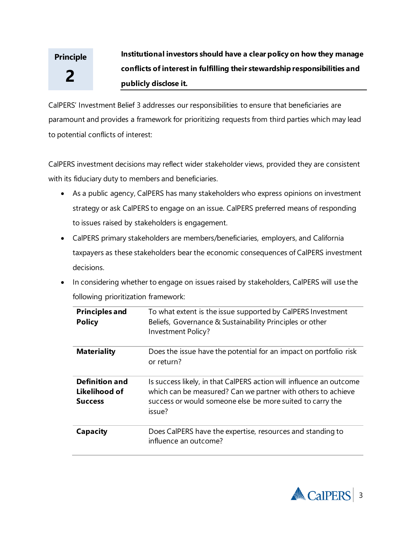#### **Institutional investors should have a clear policy on how they manage conflicts ofinterestin fulfilling their stewardship responsibilities and publicly disclose it. Principle 2**

CalPERS' Investment Belief 3 addresses our responsibilities to ensure that beneficiaries are paramount and provides a framework for prioritizing requests from third parties which may lead to potential conflicts of interest:

CalPERS investment decisions may reflect wider stakeholder views, provided they are consistent with its fiduciary duty to members and beneficiaries.

- As a public agency, CalPERS has many stakeholders who express opinions on investment strategy or ask CalPERS to engage on an issue. CalPERS preferred means of responding to issues raised by stakeholders is engagement.
- CalPERS primary stakeholders are members/beneficiaries, employers, and California taxpayers as these stakeholders bear the economic consequences of CalPERS investment decisions.
- In considering whether to engage on issues raised by stakeholders, CalPERS will use the following prioritization framework:

| <b>Principles and</b><br><b>Policy</b>                   | To what extent is the issue supported by CalPERS Investment<br>Beliefs, Governance & Sustainability Principles or other<br>Investment Policy?                                                              |
|----------------------------------------------------------|------------------------------------------------------------------------------------------------------------------------------------------------------------------------------------------------------------|
| <b>Materiality</b>                                       | Does the issue have the potential for an impact on portfolio risk<br>or return?                                                                                                                            |
| <b>Definition and</b><br>Likelihood of<br><b>Success</b> | Is success likely, in that CalPERS action will influence an outcome<br>which can be measured? Can we partner with others to achieve<br>success or would someone else be more suited to carry the<br>issue? |
| Capacity                                                 | Does CalPERS have the expertise, resources and standing to<br>influence an outcome?                                                                                                                        |

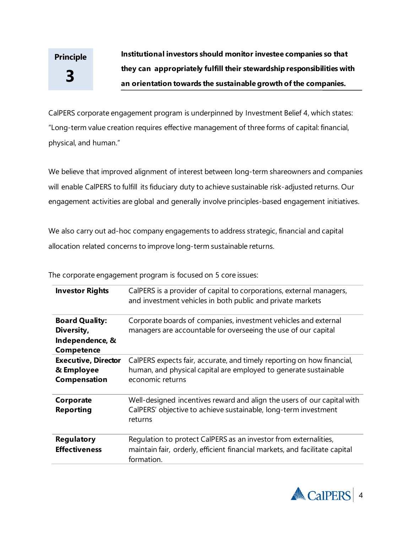**Institutional investors should monitor investee companies so that they can appropriately fulfill their stewardship responsibilities with an orientation towards the sustainable growth ofthe companies.**

CalPERS corporate engagement program is underpinned by Investment Belief 4, which states: "Long-term value creation requires effective management of three forms of capital: financial, physical, and human."

We believe that improved alignment of interest between long-term shareowners and companies will enable CalPERS to fulfill its fiduciary duty to achieve sustainable risk-adjusted returns. Our engagement activities are global and generally involve principles-based engagement initiatives.

We also carry out ad-hoc company engagements to address strategic, financial and capital allocation related concerns to improve long-term sustainable returns.

The corporate engagement program is focused on 5 core issues:

| <b>Investor Rights</b>                                               | CalPERS is a provider of capital to corporations, external managers,<br>and investment vehicles in both public and private markets                             |
|----------------------------------------------------------------------|----------------------------------------------------------------------------------------------------------------------------------------------------------------|
| <b>Board Quality:</b><br>Diversity,<br>Independence, &<br>Competence | Corporate boards of companies, investment vehicles and external<br>managers are accountable for overseeing the use of our capital                              |
| <b>Executive, Director</b><br>& Employee<br>Compensation             | CalPERS expects fair, accurate, and timely reporting on how financial,<br>human, and physical capital are employed to generate sustainable<br>economic returns |
| Corporate<br><b>Reporting</b>                                        | Well-designed incentives reward and align the users of our capital with<br>CalPERS' objective to achieve sustainable, long-term investment<br>returns          |
| <b>Regulatory</b><br><b>Effectiveness</b>                            | Regulation to protect CalPERS as an investor from externalities,<br>maintain fair, orderly, efficient financial markets, and facilitate capital<br>formation.  |

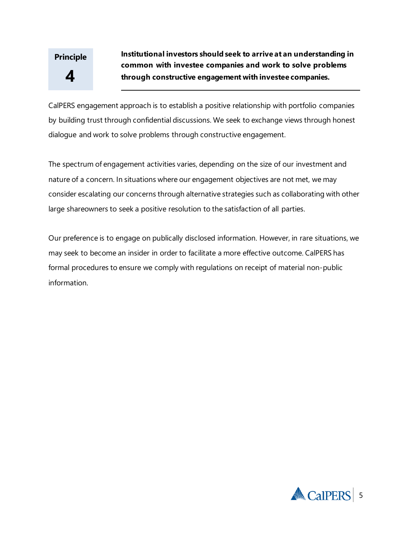**Institutional investors should seek to arrive at an understanding in common with investee companies and work to solve problems through constructive engagement with investee companies.**

CalPERS engagement approach is to establish a positive relationship with portfolio companies by building trust through confidential discussions. We seek to exchange views through honest dialogue and work to solve problems through constructive engagement.

The spectrum of engagement activities varies, depending on the size of our investment and nature of a concern. In situations where our engagement objectives are not met, we may consider escalating our concerns through alternative strategies such as collaborating with other large shareowners to seek a positive resolution to the satisfaction of all parties.

Our preference is to engage on publically disclosed information. However, in rare situations, we may seek to become an insider in order to facilitate a more effective outcome. CalPERS has formal procedures to ensure we comply with regulations on receipt of material non-public information.

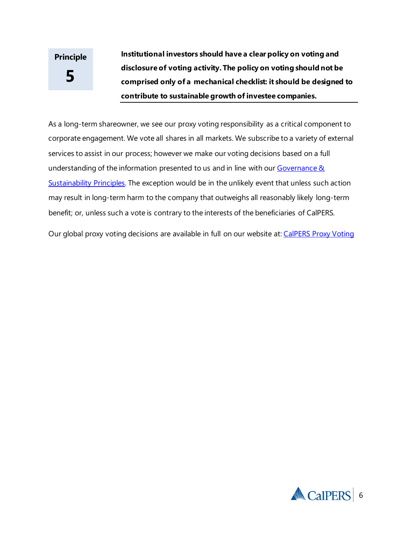**Institutional investors should have a clear policy on voting and disclosure of voting activity. The policy on voting should not be comprised only of a mechanical checklist: it should be designed to contribute to sustainable growth ofinvestee companies.**

As a long-term shareowner, we see our proxy voting responsibility as a critical component to corporate engagement. We vote all shares in all markets. We subscribe to a variety of external services to assist in our process; however we make our voting decisions based on a full understanding of the information presented to us and in line with our [Governance](https://www.calpers.ca.gov/docs/forms-publications/governance-and-sustainability-principles.pdf)  $\&$ [Sustainability](https://www.calpers.ca.gov/docs/forms-publications/governance-and-sustainability-principles.pdf) Principles. The exception would be in the unlikely event that unless such action may result in long-term harm to the company that outweighs all reasonably likely long-term benefit; or, unless such a vote is contrary to the interests of the beneficiaries of CalPERS.

Our global proxy voting decisions are available in full on our website at[: CalPERS Proxy Voting](https://viewpoint.glasslewis.com/WD/?siteId=CalPERS)

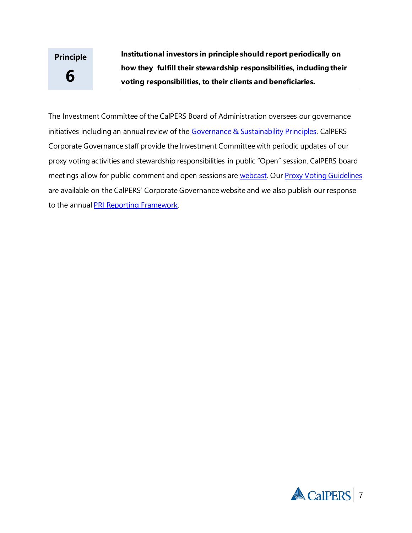**Institutional investors in principle should report periodically on how they fulfill their stewardship responsibilities, including their voting responsibilities, to their clients and beneficiaries.**

The Investment Committee of the CalPERS Board of Administration oversees our governance initiatives including an annual review of the Governance [& Sustainability](https://www.calpers.ca.gov/docs/forms-publications/governance-and-sustainability-principles.pdf) Principles. CalPERS Corporate Governance staff provide the Investment Committee with periodic updates of our proxy voting activities and stewardship responsibilities in public "Open" session. CalPERS board meetings allow for public comment and open sessions are [webcast.](http://www.calpers.ca.gov/boardwebcast/) Our [Proxy Voting Guidelines](https://www.calpers.ca.gov/docs/proxy-voting-guidelines.pdf) are available on the CalPERS' Corporate Governance website and we also publish our response to the annual [PRI Reporting Framework.](https://www.unpri.org/signatories/reporting-and-assessment/public-signatory-reports)

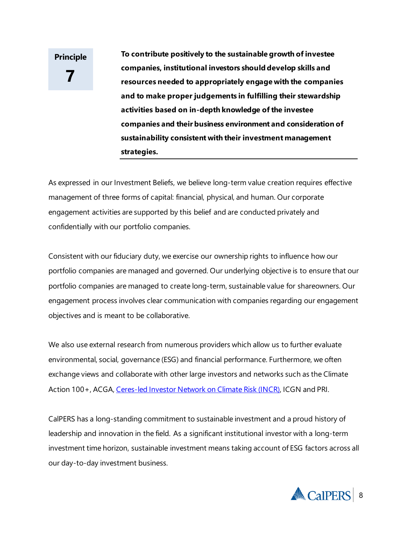**To contribute positively to the sustainable growth ofinvestee companies, institutional investors should develop skills and resources needed to appropriately engage with the companies and to make proper judgements in fulfilling their stewardship activities based on in-depth knowledge ofthe investee companies and their business environment and consideration of sustainability consistent with their investment management strategies.**

As expressed in our Investment Beliefs, we believe long-term value creation requires effective management of three forms of capital: financial, physical, and human. Our corporate engagement activities are supported by this belief and are conducted privately and confidentially with our portfolio companies.

Consistent with our fiduciary duty, we exercise our ownership rights to influence how our portfolio companies are managed and governed. Our underlying objective is to ensure that our portfolio companies are managed to create long-term, sustainable value for shareowners. Our engagement process involves clear communication with companies regarding our engagement objectives and is meant to be collaborative.

We also use external research from numerous providers which allow us to further evaluate environmental, social, governance (ESG) and financial performance. Furthermore, we often exchange views and collaborate with other large investors and networks such as the Climate Action 100+, ACGA[, Ceres-led Investor Network on Climate Risk \(INCR\),](http://www.ceres.org/investor-network/incr) ICGN and PRI.

CalPERS has a long-standing commitment to sustainable investment and a proud history of leadership and innovation in the field. As a significant institutional investor with a long-term investment time horizon, sustainable investment means taking account of ESG factors across all our day-to-day investment business.